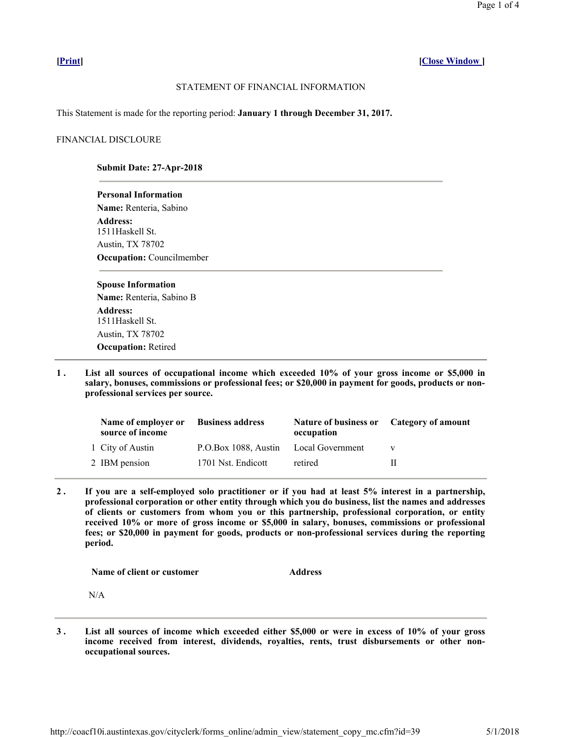# **[Print] [Close Window ]**

## STATEMENT OF FINANCIAL INFORMATION

This Statement is made for the reporting period: **January 1 through December 31, 2017.**

## FINANCIAL DISCLOURE

## **Submit Date: 27-Apr-2018**

**Personal Information Name:** Renteria, Sabino **Address:** 1511Haskell St. Austin, TX 78702 **Occupation:** Councilmember

#### **Spouse Information**

**Name:** Renteria, Sabino B **Address:** 1511Haskell St. Austin, TX 78702 **Occupation:** Retired

**1 . List all sources of occupational income which exceeded 10% of your gross income or \$5,000 in salary, bonuses, commissions or professional fees; or \$20,000 in payment for goods, products or nonprofessional services per source.** 

| Name of employer or<br>source of income | <b>Business address</b>               | <b>Nature of business or</b><br>occupation | Category of amount |
|-----------------------------------------|---------------------------------------|--------------------------------------------|--------------------|
| 1 City of Austin                        | P.O.Box 1088, Austin Local Government |                                            |                    |
| 2 IBM pension                           | 1701 Nst. Endicott                    | retired                                    | ш                  |

**2 . If you are a self-employed solo practitioner or if you had at least 5% interest in a partnership, professional corporation or other entity through which you do business, list the names and addresses of clients or customers from whom you or this partnership, professional corporation, or entity received 10% or more of gross income or \$5,000 in salary, bonuses, commissions or professional fees; or \$20,000 in payment for goods, products or non-professional services during the reporting period.** 

**Name of client or customer Address** 

N/A

**3 . List all sources of income which exceeded either \$5,000 or were in excess of 10% of your gross income received from interest, dividends, royalties, rents, trust disbursements or other nonoccupational sources.**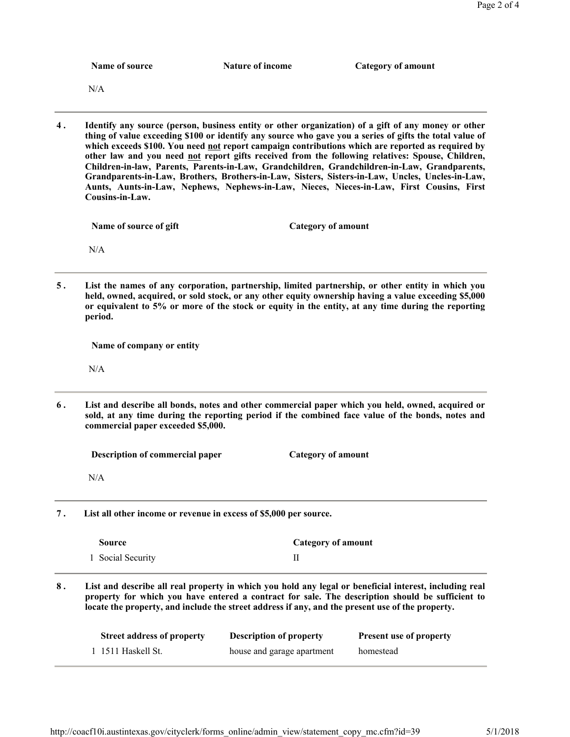|    | Name of source                                                                                                                                                                                                                                                                                                                                                                                                                                                                                                                                                                                                                                                                                                                             | Nature of income               | <b>Category of amount</b>      |  |  |  |
|----|--------------------------------------------------------------------------------------------------------------------------------------------------------------------------------------------------------------------------------------------------------------------------------------------------------------------------------------------------------------------------------------------------------------------------------------------------------------------------------------------------------------------------------------------------------------------------------------------------------------------------------------------------------------------------------------------------------------------------------------------|--------------------------------|--------------------------------|--|--|--|
|    | N/A                                                                                                                                                                                                                                                                                                                                                                                                                                                                                                                                                                                                                                                                                                                                        |                                |                                |  |  |  |
| 4. | Identify any source (person, business entity or other organization) of a gift of any money or other<br>thing of value exceeding \$100 or identify any source who gave you a series of gifts the total value of<br>which exceeds \$100. You need not report campaign contributions which are reported as required by<br>other law and you need not report gifts received from the following relatives: Spouse, Children,<br>Children-in-law, Parents, Parents-in-Law, Grandchildren, Grandchildren-in-Law, Grandparents,<br>Grandparents-in-Law, Brothers, Brothers-in-Law, Sisters, Sisters-in-Law, Uncles, Uncles-in-Law,<br>Aunts, Aunts-in-Law, Nephews, Nephews-in-Law, Nieces, Nieces-in-Law, First Cousins, First<br>Cousins-in-Law. |                                |                                |  |  |  |
|    | Name of source of gift                                                                                                                                                                                                                                                                                                                                                                                                                                                                                                                                                                                                                                                                                                                     | <b>Category of amount</b>      |                                |  |  |  |
|    | N/A                                                                                                                                                                                                                                                                                                                                                                                                                                                                                                                                                                                                                                                                                                                                        |                                |                                |  |  |  |
| 5. | List the names of any corporation, partnership, limited partnership, or other entity in which you<br>held, owned, acquired, or sold stock, or any other equity ownership having a value exceeding \$5,000<br>or equivalent to 5% or more of the stock or equity in the entity, at any time during the reporting<br>period.                                                                                                                                                                                                                                                                                                                                                                                                                 |                                |                                |  |  |  |
|    | Name of company or entity                                                                                                                                                                                                                                                                                                                                                                                                                                                                                                                                                                                                                                                                                                                  |                                |                                |  |  |  |
|    | N/A                                                                                                                                                                                                                                                                                                                                                                                                                                                                                                                                                                                                                                                                                                                                        |                                |                                |  |  |  |
| 6. | List and describe all bonds, notes and other commercial paper which you held, owned, acquired or<br>sold, at any time during the reporting period if the combined face value of the bonds, notes and<br>commercial paper exceeded \$5,000.                                                                                                                                                                                                                                                                                                                                                                                                                                                                                                 |                                |                                |  |  |  |
|    | Description of commercial paper                                                                                                                                                                                                                                                                                                                                                                                                                                                                                                                                                                                                                                                                                                            | <b>Category of amount</b>      |                                |  |  |  |
|    | N/A                                                                                                                                                                                                                                                                                                                                                                                                                                                                                                                                                                                                                                                                                                                                        |                                |                                |  |  |  |
| 7. | List all other income or revenue in excess of \$5,000 per source.                                                                                                                                                                                                                                                                                                                                                                                                                                                                                                                                                                                                                                                                          |                                |                                |  |  |  |
|    | <b>Source</b>                                                                                                                                                                                                                                                                                                                                                                                                                                                                                                                                                                                                                                                                                                                              |                                | <b>Category of amount</b>      |  |  |  |
|    | 1 Social Security                                                                                                                                                                                                                                                                                                                                                                                                                                                                                                                                                                                                                                                                                                                          | П                              |                                |  |  |  |
| 8. | List and describe all real property in which you hold any legal or beneficial interest, including real<br>property for which you have entered a contract for sale. The description should be sufficient to<br>locate the property, and include the street address if any, and the present use of the property.                                                                                                                                                                                                                                                                                                                                                                                                                             |                                |                                |  |  |  |
|    | <b>Street address of property</b>                                                                                                                                                                                                                                                                                                                                                                                                                                                                                                                                                                                                                                                                                                          | <b>Description of property</b> | <b>Present use of property</b> |  |  |  |
|    |                                                                                                                                                                                                                                                                                                                                                                                                                                                                                                                                                                                                                                                                                                                                            |                                |                                |  |  |  |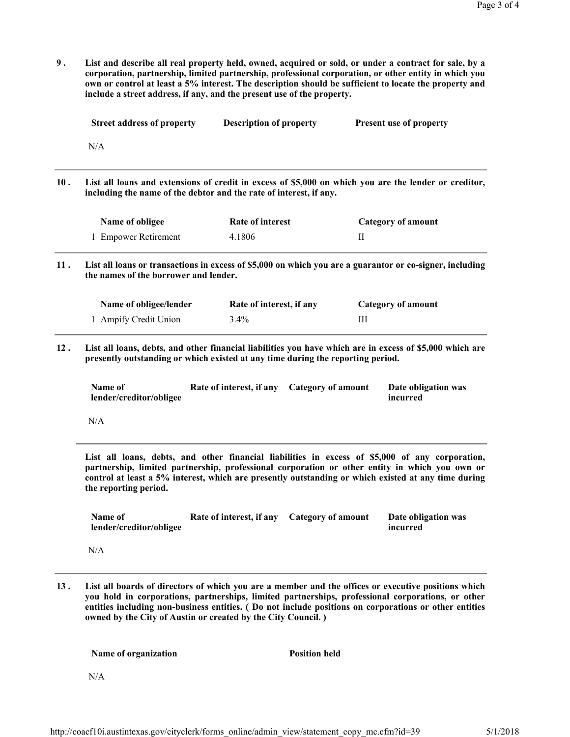**9 . List and describe all real property held, owned, acquired or sold, or under a contract for sale, by a corporation, partnership, limited partnership, professional corporation, or other entity in which you own or control at least a 5% interest. The description should be sufficient to locate the property and include a street address, if any, and the present use of the property.** 

|     | <b>Street address of property</b>                                                                                                                                           | <b>Description of property</b> |                           | Present use of property                                                                                                                                                                                                                                                                                  |  |  |
|-----|-----------------------------------------------------------------------------------------------------------------------------------------------------------------------------|--------------------------------|---------------------------|----------------------------------------------------------------------------------------------------------------------------------------------------------------------------------------------------------------------------------------------------------------------------------------------------------|--|--|
|     | N/A                                                                                                                                                                         |                                |                           |                                                                                                                                                                                                                                                                                                          |  |  |
| 10. | List all loans and extensions of credit in excess of \$5,000 on which you are the lender or creditor,<br>including the name of the debtor and the rate of interest, if any. |                                |                           |                                                                                                                                                                                                                                                                                                          |  |  |
|     | Name of obligee                                                                                                                                                             | <b>Rate of interest</b>        |                           | <b>Category of amount</b>                                                                                                                                                                                                                                                                                |  |  |
|     | 1 Empower Retirement                                                                                                                                                        | 4.1806                         | П                         |                                                                                                                                                                                                                                                                                                          |  |  |
| 11. | List all loans or transactions in excess of \$5,000 on which you are a guarantor or co-signer, including<br>the names of the borrower and lender.                           |                                |                           |                                                                                                                                                                                                                                                                                                          |  |  |
|     | Name of obligee/lender                                                                                                                                                      | Rate of interest, if any       |                           | <b>Category of amount</b>                                                                                                                                                                                                                                                                                |  |  |
|     |                                                                                                                                                                             |                                |                           |                                                                                                                                                                                                                                                                                                          |  |  |
|     | 1 Ampify Credit Union                                                                                                                                                       | 3.4%                           | Ш                         |                                                                                                                                                                                                                                                                                                          |  |  |
|     | presently outstanding or which existed at any time during the reporting period.                                                                                             |                                |                           |                                                                                                                                                                                                                                                                                                          |  |  |
|     | Name of<br>lender/creditor/obligee                                                                                                                                          | Rate of interest, if any       | <b>Category of amount</b> | Date obligation was<br>incurred                                                                                                                                                                                                                                                                          |  |  |
| 12. | N/A                                                                                                                                                                         |                                |                           | List all loans, debts, and other financial liabilities you have which are in excess of \$5,000 which are                                                                                                                                                                                                 |  |  |
|     | the reporting period.                                                                                                                                                       |                                |                           | List all loans, debts, and other financial liabilities in excess of \$5,000 of any corporation,<br>partnership, limited partnership, professional corporation or other entity in which you own or<br>control at least a 5% interest, which are presently outstanding or which existed at any time during |  |  |
|     | Name of<br>lender/creditor/obligee                                                                                                                                          | Rate of interest, if any       | <b>Category of amount</b> | Date obligation was<br>incurred                                                                                                                                                                                                                                                                          |  |  |

**13 . List all boards of directors of which you are a member and the offices or executive positions which you hold in corporations, partnerships, limited partnerships, professional corporations, or other entities including non-business entities. ( Do not include positions on corporations or other entities owned by the City of Austin or created by the City Council. )** 

**Name of organization Position held** 

N/A